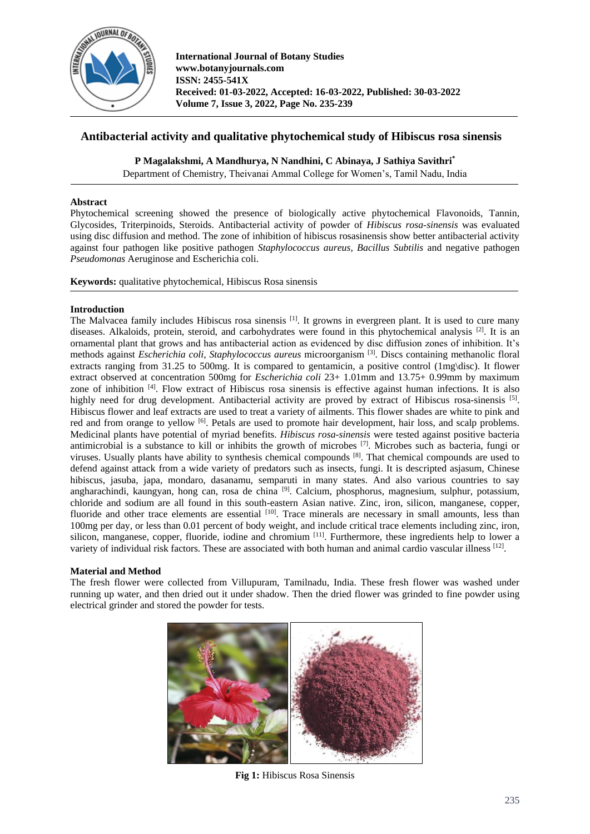

# **Antibacterial activity and qualitative phytochemical study of Hibiscus rosa sinensis**

**P Magalakshmi, A Mandhurya, N Nandhini, C Abinaya, J Sathiya Savithri\***

Department of Chemistry, Theivanai Ammal College for Women's, Tamil Nadu, India

### **Abstract**

Phytochemical screening showed the presence of biologically active phytochemical Flavonoids, Tannin, Glycosides, Triterpinoids, Steroids. Antibacterial activity of powder of *Hibiscus rosa-sinensis* was evaluated using disc diffusion and method. The zone of inhibition of hibiscus rosasinensis show better antibacterial activity against four pathogen like positive pathogen *Staphylococcus aureus, Bacillus Subtilis* and negative pathogen *Pseudomonas* Aeruginose and Escherichia coli.

**Keywords:** qualitative phytochemical, Hibiscus Rosa sinensis

### **Introduction**

The Malvacea family includes Hibiscus rosa sinensis [1]. It growns in evergreen plant. It is used to cure many diseases. Alkaloids, protein, steroid, and carbohydrates were found in this phytochemical analysis <sup>[2]</sup>. It is an ornamental plant that grows and has antibacterial action as evidenced by disc diffusion zones of inhibition. It's methods against *Escherichia coli, Staphylococcus aureus* microorganism [3] . Discs containing methanolic floral extracts ranging from 31.25 to 500mg. It is compared to gentamicin, a positive control (1mg\disc). It flower extract observed at concentration 500mg for *Escherichia coli* 23+ 1.01mm and 13.75+ 0.99mm by maximum zone of inhibition <sup>[4]</sup>. Flow extract of Hibiscus rosa sinensis is effective against human infections. It is also highly need for drug development. Antibacterial activity are proved by extract of Hibiscus rosa-sinensis [5]. Hibiscus flower and leaf extracts are used to treat a variety of ailments. This flower shades are white to pink and red and from orange to yellow <sup>[6]</sup>. Petals are used to promote hair development, hair loss, and scalp problems. Medicinal plants have potential of myriad benefits*. Hibiscus rosa-sinensis* were tested against positive bacteria antimicrobial is a substance to kill or inhibits the growth of microbes  $\left[7\right]$ . Microbes such as bacteria, fungi or viruses. Usually plants have ability to synthesis chemical compounds [8]. That chemical compounds are used to defend against attack from a wide variety of predators such as insects, fungi. It is descripted asjasum, Chinese hibiscus, jasuba, japa, mondaro, dasanamu, semparuti in many states. And also various countries to say angharachindi, kaungyan, hong can, rosa de china <sup>[9]</sup>. Calcium, phosphorus, magnesium, sulphur, potassium, chloride and sodium are all found in this south-eastern Asian native. Zinc, iron, silicon, manganese, copper, fluoride and other trace elements are essential [10]. Trace minerals are necessary in small amounts, less than 100mg per day, or less than 0.01 percent of body weight, and include critical trace elements including zinc, iron, silicon, manganese, copper, fluoride, iodine and chromium <sup>[11]</sup>. Furthermore, these ingredients help to lower a variety of individual risk factors. These are associated with both human and animal cardio vascular illness  $^{[12]}$ .

## **Material and Method**

The fresh flower were collected from Villupuram, Tamilnadu, India. These fresh flower was washed under running up water, and then dried out it under shadow. Then the dried flower was grinded to fine powder using electrical grinder and stored the powder for tests.



**Fig 1:** Hibiscus Rosa Sinensis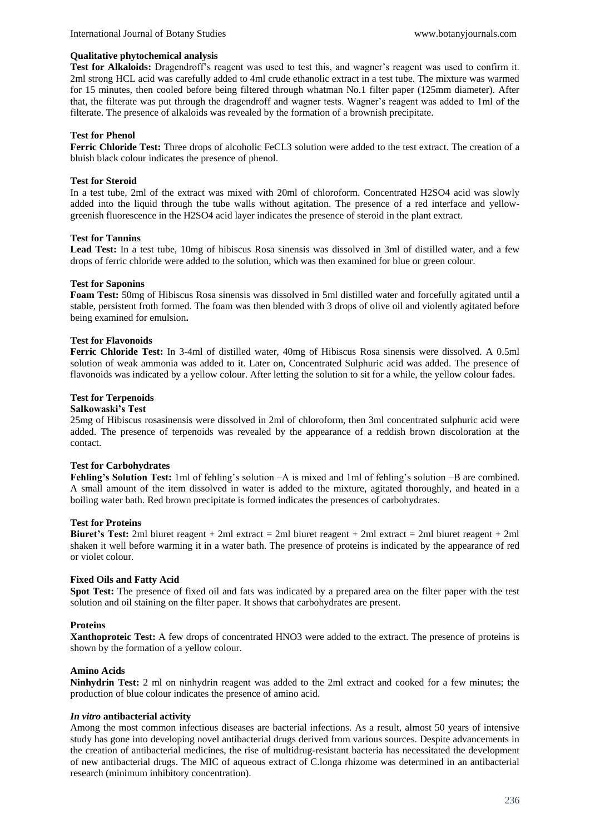#### **Qualitative phytochemical analysis**

**Test for Alkaloids:** Dragendroff's reagent was used to test this, and wagner's reagent was used to confirm it. 2ml strong HCL acid was carefully added to 4ml crude ethanolic extract in a test tube. The mixture was warmed for 15 minutes, then cooled before being filtered through whatman No.1 filter paper (125mm diameter). After that, the filterate was put through the dragendroff and wagner tests. Wagner's reagent was added to 1ml of the filterate. The presence of alkaloids was revealed by the formation of a brownish precipitate.

### **Test for Phenol**

**Ferric Chloride Test:** Three drops of alcoholic FeCL3 solution were added to the test extract. The creation of a bluish black colour indicates the presence of phenol.

### **Test for Steroid**

In a test tube, 2ml of the extract was mixed with 20ml of chloroform. Concentrated H2SO4 acid was slowly added into the liquid through the tube walls without agitation. The presence of a red interface and yellowgreenish fluorescence in the H2SO4 acid layer indicates the presence of steroid in the plant extract.

#### **Test for Tannins**

**Lead Test:** In a test tube, 10mg of hibiscus Rosa sinensis was dissolved in 3ml of distilled water, and a few drops of ferric chloride were added to the solution, which was then examined for blue or green colour.

#### **Test for Saponins**

**Foam Test:** 50mg of Hibiscus Rosa sinensis was dissolved in 5ml distilled water and forcefully agitated until a stable, persistent froth formed. The foam was then blended with 3 drops of olive oil and violently agitated before being examined for emulsion**.** 

### **Test for Flavonoids**

**Ferric Chloride Test:** In 3-4ml of distilled water, 40mg of Hibiscus Rosa sinensis were dissolved. A 0.5ml solution of weak ammonia was added to it. Later on, Concentrated Sulphuric acid was added. The presence of flavonoids was indicated by a yellow colour. After letting the solution to sit for a while, the yellow colour fades.

### **Test for Terpenoids**

#### **Salkowaski's Test**

25mg of Hibiscus rosasinensis were dissolved in 2ml of chloroform, then 3ml concentrated sulphuric acid were added. The presence of terpenoids was revealed by the appearance of a reddish brown discoloration at the contact.

#### **Test for Carbohydrates**

**Fehling's Solution Test:** 1ml of fehling's solution –A is mixed and 1ml of fehling's solution –B are combined. A small amount of the item dissolved in water is added to the mixture, agitated thoroughly, and heated in a boiling water bath. Red brown precipitate is formed indicates the presences of carbohydrates.

#### **Test for Proteins**

**Biuret's Test:** 2ml biuret reagent + 2ml extract = 2ml biuret reagent + 2ml extract = 2ml biuret reagent + 2ml shaken it well before warming it in a water bath. The presence of proteins is indicated by the appearance of red or violet colour.

#### **Fixed Oils and Fatty Acid**

**Spot Test:** The presence of fixed oil and fats was indicated by a prepared area on the filter paper with the test solution and oil staining on the filter paper. It shows that carbohydrates are present.

#### **Proteins**

**Xanthoproteic Test:** A few drops of concentrated HNO3 were added to the extract. The presence of proteins is shown by the formation of a yellow colour.

#### **Amino Acids**

**Ninhydrin Test:** 2 ml on ninhydrin reagent was added to the 2ml extract and cooked for a few minutes; the production of blue colour indicates the presence of amino acid.

#### *In vitro* **antibacterial activity**

Among the most common infectious diseases are bacterial infections. As a result, almost 50 years of intensive study has gone into developing novel antibacterial drugs derived from various sources. Despite advancements in the creation of antibacterial medicines, the rise of multidrug-resistant bacteria has necessitated the development of new antibacterial drugs. The MIC of aqueous extract of C.longa rhizome was determined in an antibacterial research (minimum inhibitory concentration).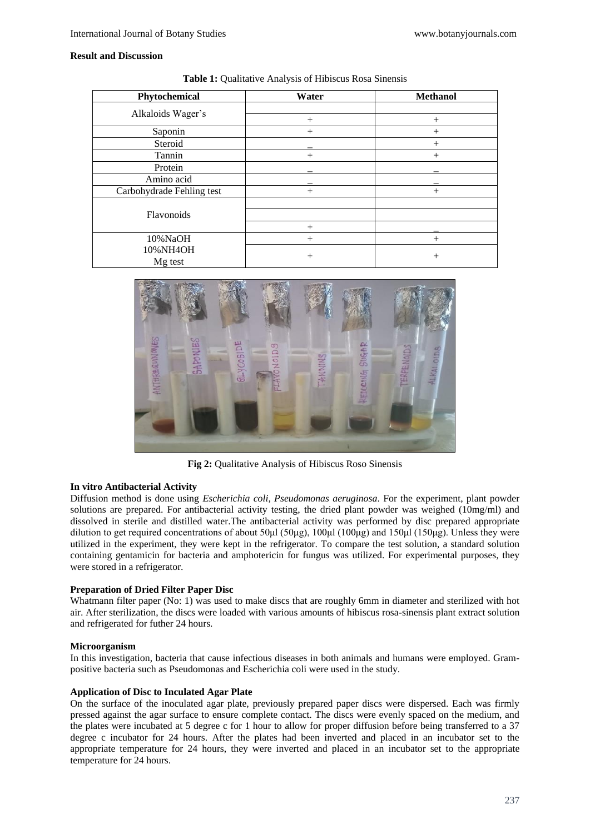### **Result and Discussion**

| Phytochemical             | Water  | <b>Methanol</b> |  |
|---------------------------|--------|-----------------|--|
| Alkaloids Wager's         |        |                 |  |
|                           | $^{+}$ | $^{+}$          |  |
| Saponin                   | $^{+}$ | $^{+}$          |  |
| Steroid                   |        | $^{+}$          |  |
| Tannin                    | $^{+}$ | $^{+}$          |  |
| Protein                   |        |                 |  |
| Amino acid                |        |                 |  |
| Carbohydrade Fehling test | $^{+}$ | $^+$            |  |
|                           |        |                 |  |
| Flavonoids                |        |                 |  |
|                           | $^{+}$ |                 |  |
| 10%NaOH                   | $^{+}$ | $^{+}$          |  |
| 10%NH4OH                  |        |                 |  |
| Mg test                   | $^{+}$ | $^{+}$          |  |

**Table 1:** Qualitative Analysis of Hibiscus Rosa Sinensis



**Fig 2:** Qualitative Analysis of Hibiscus Roso Sinensis

## **In vitro Antibacterial Activity**

Diffusion method is done using *Escherichia coli, Pseudomonas aeruginosa*. For the experiment, plant powder solutions are prepared. For antibacterial activity testing, the dried plant powder was weighed (10mg/ml) and dissolved in sterile and distilled water.The antibacterial activity was performed by disc prepared appropriate dilution to get required concentrations of about 50μl (50μg), 100μl (100μg) and 150μl (150μg). Unless they were utilized in the experiment, they were kept in the refrigerator. To compare the test solution, a standard solution containing gentamicin for bacteria and amphotericin for fungus was utilized. For experimental purposes, they were stored in a refrigerator.

### **Preparation of Dried Filter Paper Disc**

Whatmann filter paper (No: 1) was used to make discs that are roughly 6mm in diameter and sterilized with hot air. After sterilization, the discs were loaded with various amounts of hibiscus rosa-sinensis plant extract solution and refrigerated for futher 24 hours.

#### **Microorganism**

In this investigation, bacteria that cause infectious diseases in both animals and humans were employed. Grampositive bacteria such as Pseudomonas and Escherichia coli were used in the study.

#### **Application of Disc to Inculated Agar Plate**

On the surface of the inoculated agar plate, previously prepared paper discs were dispersed. Each was firmly pressed against the agar surface to ensure complete contact. The discs were evenly spaced on the medium, and the plates were incubated at 5 degree c for 1 hour to allow for proper diffusion before being transferred to a 37 degree c incubator for 24 hours. After the plates had been inverted and placed in an incubator set to the appropriate temperature for 24 hours, they were inverted and placed in an incubator set to the appropriate temperature for 24 hours.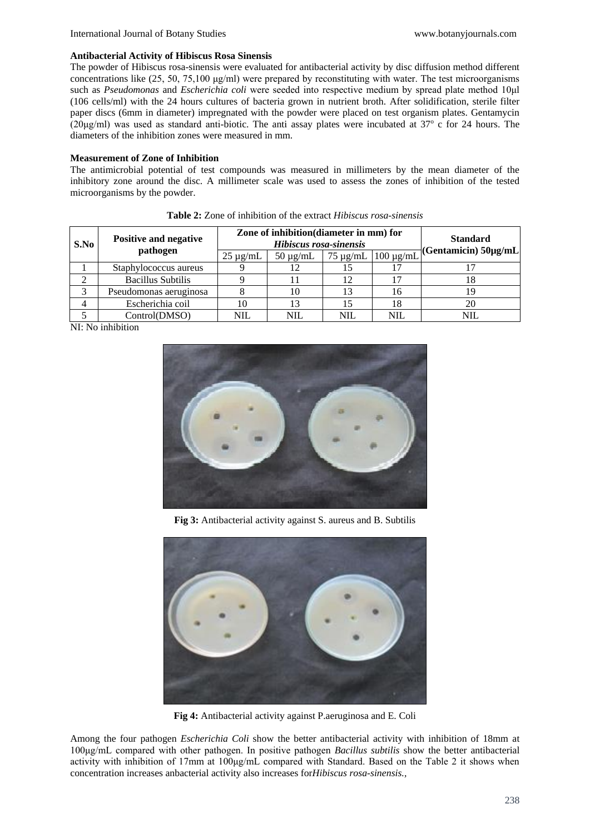#### **Antibacterial Activity of Hibiscus Rosa Sinensis**

The powder of Hibiscus rosa-sinensis were evaluated for antibacterial activity by disc diffusion method different concentrations like (25, 50, 75,100 μg/ml) were prepared by reconstituting with water. The test microorganisms such as *Pseudomonas* and *Escherichia coli* were seeded into respective medium by spread plate method 10μl (106 cells/ml) with the 24 hours cultures of bacteria grown in nutrient broth. After solidification, sterile filter paper discs (6mm in diameter) impregnated with the powder were placed on test organism plates. Gentamycin (20μg/ml) was used as standard anti-biotic. The anti assay plates were incubated at 37<sup>o</sup> c for 24 hours. The diameters of the inhibition zones were measured in mm.

#### **Measurement of Zone of Inhibition**

The antimicrobial potential of test compounds was measured in millimeters by the mean diameter of the inhibitory zone around the disc. A millimeter scale was used to assess the zones of inhibition of the tested microorganisms by the powder.

| S.No | <b>Positive and negative</b><br>pathogen | Zone of inhibition (diameter in mm) for<br>Hibiscus rosa-sinensis |               |               |                | <b>Standard</b><br>(Gentamicin) $50\mu g/mL$ |
|------|------------------------------------------|-------------------------------------------------------------------|---------------|---------------|----------------|----------------------------------------------|
|      |                                          | $25 \mu g/mL$                                                     | $50 \mu g/mL$ | $75 \mu$ g/mL | $100 \mu g/mL$ |                                              |
|      | Staphylococcus aureus                    |                                                                   |               |               |                |                                              |
|      | <b>Bacillus Subtilis</b>                 |                                                                   |               | 12            | 17             | 18                                           |
| 3    | Pseudomonas aeruginosa                   |                                                                   | 10            | 13            | 16             | 19                                           |
|      | Escherichia coil                         | 10                                                                | 13            | 15            | 18             | 20                                           |
|      | Control(DMSO)                            | NIL                                                               | NIL           | NIL           | <b>NIL</b>     | <b>NIL</b>                                   |

**Table 2:** Zone of inhibition of the extract *Hibiscus rosa-sinensis*

NI: No inhibition



**Fig 3:** Antibacterial activity against S. aureus and B. Subtilis



**Fig 4:** Antibacterial activity against P.aeruginosa and E. Coli

Among the four pathogen *Escherichia Coli* show the better antibacterial activity with inhibition of 18mm at 100μg/mL compared with other pathogen. In positive pathogen *Bacillus subtilis* show the better antibacterial activity with inhibition of 17mm at 100μg/mL compared with Standard. Based on the Table 2 it shows when concentration increases anbacterial activity also increases for*Hibiscus rosa-sinensis.,*